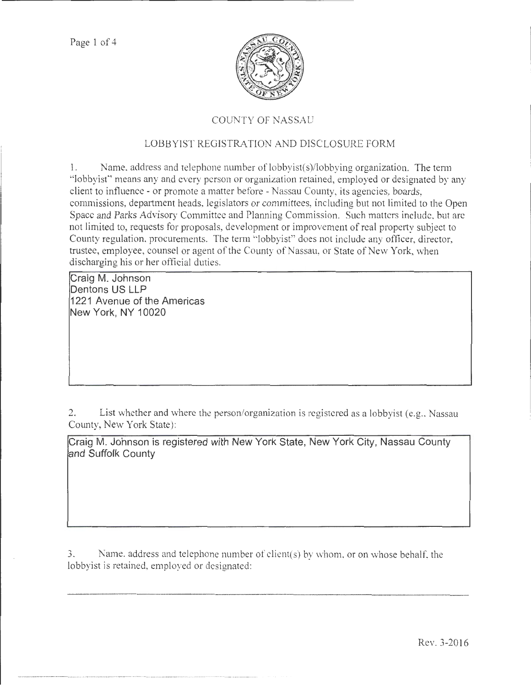

## COUNTY OF NASSAU

## LOBBYIST REGISTRATION AND DISCLOSURE FORM

1. Name, address and telephone munber of lobbyist(s)/lobbying organization. The term "lobbyist" means any and every person or organization retained, employed or designated by any client to influence- or promote a matter before- Nassau County, its agencies, boards, commissions, department heads, legislators or committees, including but not limited to the Open Space and Parks Advisory Committee and Planning Commission. Such matters include, but arc not limited to, requests for proposals, development or improvement of real property subject to County regulation, procurements. The term "lobbyist" does not include any officer, director, trustee, employee, counsel or agent of the County of Nassau, or State of New York, when discharging his or her official duties.

**Craig M. Johnson Dentons US LLP 1221 Avenue of the Americas New York, NY 10020** 

2. List whether and where the person/organization is registered as a lobbyist (e.g., Nassau County, New York State):

**Craig M. Johnson is registered with New York State, New York City, Nassau County and Suffolk County** 

3. Name. address and telephone number of client(s) by whom. or on whose behalf, the lobbyist is retained, employed or designated:

·----··-·--···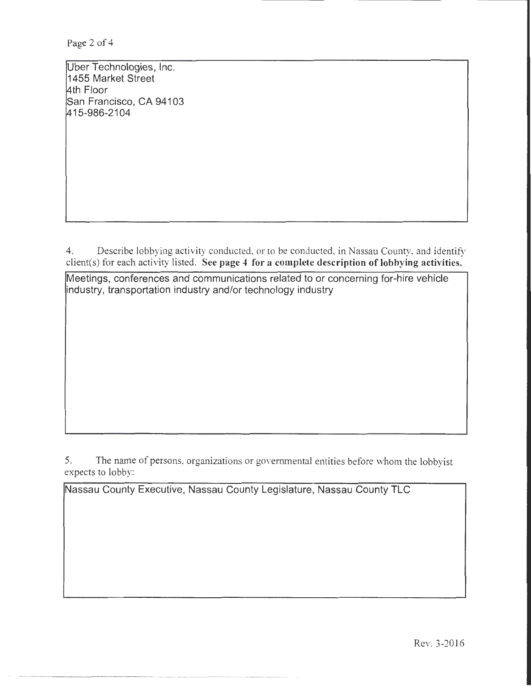Page 2 of 4

Uber Technologies, Inc. 1455 Market Street 4th Floor San Francisco, CA 94103 415-986-2104

4. Describe lobbying activity conducted, or to be conducted, in Nassau County, and identify client(s) for each activity listed. See page 4 for a complete description of lobbying activities.

Meetings, conferences and communications related to or concerning for-hire vehicle industry, transportation industry and/or technology industry

5. The name of persons, organizations or governmental entities before whom the lobbyist expects to lobby:

Nassau County Executive, Nassau County Legislature, Nassau County TLC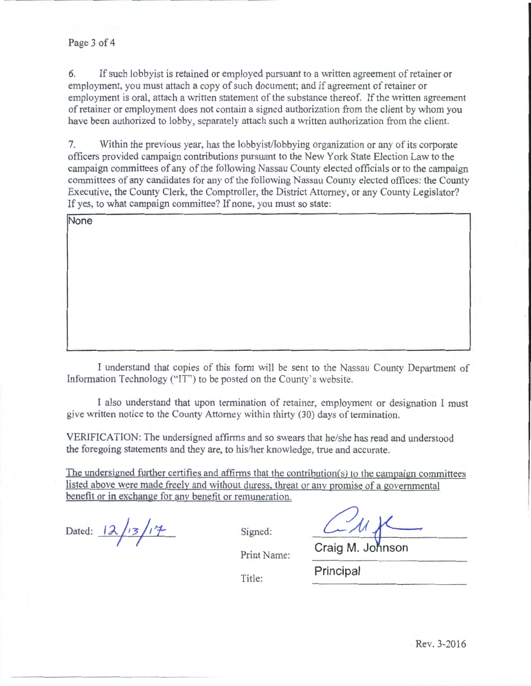## Page 3 of 4

6. If such lobbyist is retained or employed pursuant to a written agreement of retainer or employment, you must attach a copy of such document; and if agreement of retainer or employment is oral, attach a written statement of the substance thereof. If the written agreement of retainer or employment does not contain a signed authorization from the client by whom you have been authorized to lobby, separately attach such a written authorization from the client.

7. Within the previous year, has the lobbyist/lobbying organization or any of its corporate officers provided campaign contributions pursuant to the New York State Election Law to the campaign committees of any of the following Nassau County elected officials or to the campaign committees of any candidates for any of the following Nassau County elected offices: the County Executive, the County Clerk, the Comptroller, the District Attorney, or any County Legislator? If yes, to what campaign committee? If none, you must so state:

| None |  |  |  |
|------|--|--|--|
|      |  |  |  |
|      |  |  |  |
|      |  |  |  |
|      |  |  |  |
|      |  |  |  |
|      |  |  |  |
|      |  |  |  |
|      |  |  |  |

I understand that copies of this form will be sent to the Nassau County Department of Information Technology ("IT") to be posted on the County's website.

I also understand that upon termination of retainer, employment or designation I must give written notice to the County Attorney within thirty (30) days of termination.

VERIFICATION: The undersigned affirms and so swears that he/she has read and understood the foregoing statements and they are, to his/her knowledge, true and accurate.

The undersigned further certifies and affirms that the contribution(s) to the campaign committees listed above were made freely and without duress. threat or anv promise of a governmental benefit or in exchange for any benefit or remuneration.

Dated:  $12/13/17$  Signed:

Print Name:

Title: **Principal** 

Craig M. Johnson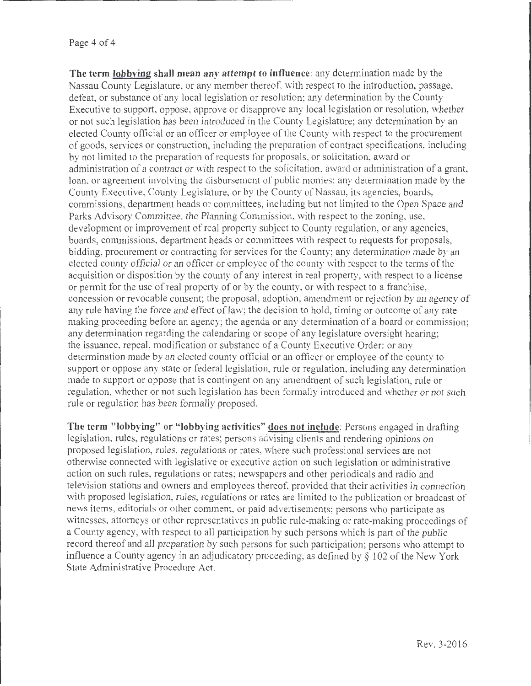The term lobbying shall mean any attempt to influence: any determination made by the Nassau County Legislature, or any member thereof, with respect to the introduction, passage, defeat, or substance of any local legislation or resolution; any determination by the County Executive to support, oppose, approve or disapprove any local legislation or resolution, whether or not such legislation has been introduced in the County Legislature; any determination by an elected County official or an officer or employee of the County with respect to the procurement of goods, services or construction, including the preparation of contract specifications, including by not limited to the preparation of requests for proposals, or solicitation, award or administration of a contract or with respect to the solicitation, award or administration of a grant, loan, or agreement involving the disbursement of public monies; any determination made by the County Executive, County Legislature, or by the County of Nassau, its agencies, boards, commissions, department heads or committees, including but not limited to the Open Space and Parks Advisory Committee. the Planning Commission, with respect to the zoning, use, development or improvement of real property subject to County regulation, or any agencies, boards, commissions, department heads or committees with respect to requests for proposals, bidding, procurement or contracting for services for the County; any determination made by an .elected county official or an officer or employee of the county with respect to the tcnns of the acquisition or disposition by the county of any interest in real property, with respect to a license or permit for the use of real property of or by the county, or with respect to a franchise, concession or revocable consent; the proposal, adoption, amendment or rejection by an agency of any rule having the force and effect of law; the decision to hold, timing or outcome of any rate making proceeding before an agency; the agenda or any determination of a board or commission; any determination regarding the calendaring or scope of any legislatme oversight hearing; the issuance, repeal. modification or substance of a County Executive Order; or any determination made by an elected county official or an officer or employee of the county to support or oppose any state or federal legislation, rule or regulation, including any determination made to support or oppose that is contingent on any amendment of such legislation, rule or regulation, whether or not such legislation has been formally introduced and whether or not such rule or regulation has been fonnally proposed.

The term "lobbying" or "lobbying activities" does not include: Persons engaged in drafting legislation, rules, regulations or rates; persons advising clients and rendering opinions on proposed legislation, rules, regulations or rates, where such professional services are not otherwise connected with legislative or executive action on such legislation or administrative action on such rules, regulations or rates; newspapers and other periodicals and radio and television stations and owners and employees thereof, provided that their activities in connection with proposed legislation, rules, regulations or rates are limited to the publication or broadcast of news items, editorials or other comment, or paid advertisements; persons who participate as witnesses, attorneys or other representatives in public rule-making or rate-making proceedings of a County agency, with respect to all participation by such persons which is part of the public record thereof and all preparation by such persons for such participation; persons who attempt to influence a County agency in an adjudicatory proceeding, as defined by  $\S$  102 of the New York State Administrative Procedure Act.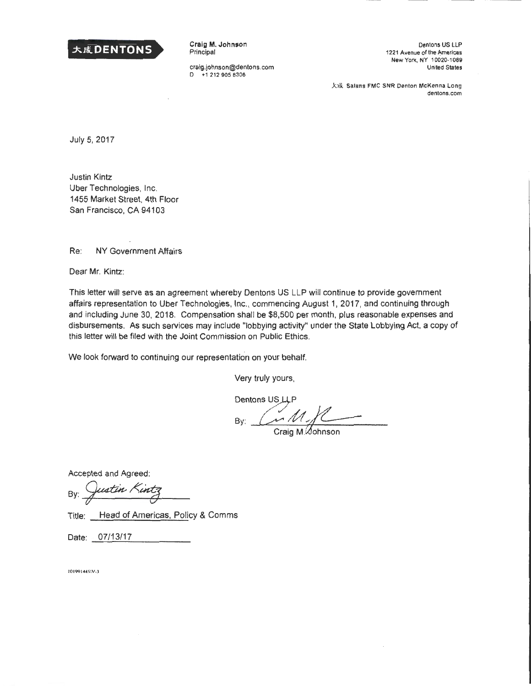

Craig M. Johnson Principal

craig.johnson@dentons.com 0 +1 2129058306

Dentons US LLP 1221 Avenue of the Americas New York, NY 10020-1089 United States

大成 Salans FMC SNR Denton McKenna Long dentons.com

July 5, 2017

Justin Kintz Uber Technologies, Inc. 1455 Market Street. 4th Floor San Francisco, CA 94103

Re: NY Government Affairs

Dear Mr. Kintz:

This letter will serve as an agreement whereby Dentons US LLP will continue to provide government affairs representation to Uber Technologies, Inc., commencing August 1, 2017, and continuing through and including June 30, 2018. Compensation shall be \$8,500 per month, plus reasonable expenses and disbursements. As such services may include "lobbying activity" under the State Lobbying Act, a copy of this letter will be filed with the Joint Commission on Public Ethics.

We look forward to continuing our representation on your behalf.

Very truly yours,

Dentons US LLP<br>By:  $\frac{M}{2}$ 

Craig M. Gohnson

Accepted and Agreed:

By: Justin Kintz

Title: Head of Americas, Policy & Comms

Date: 07/13/17

**10 199 14<4.\ \V • .l**